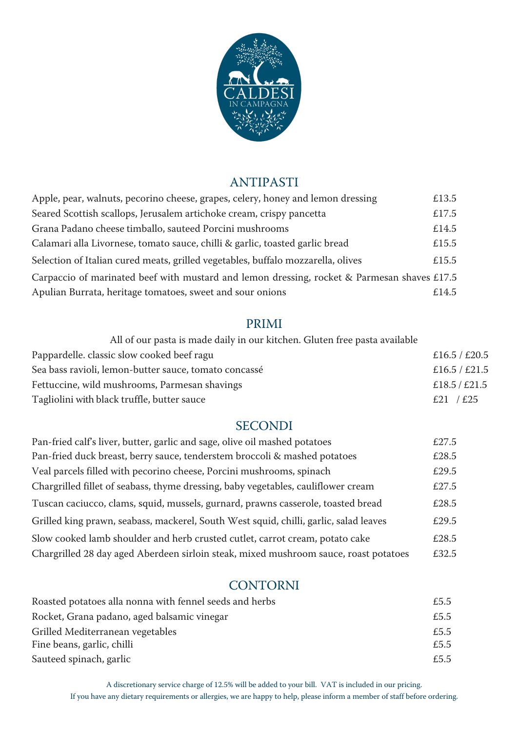

## ANTIPASTI

| Apple, pear, walnuts, pecorino cheese, grapes, celery, honey and lemon dressing             | £13.5 |
|---------------------------------------------------------------------------------------------|-------|
| Seared Scottish scallops, Jerusalem artichoke cream, crispy pancetta                        | £17.5 |
| Grana Padano cheese timballo, sauteed Porcini mushrooms                                     | £14.5 |
| Calamari alla Livornese, tomato sauce, chilli & garlic, toasted garlic bread                | £15.5 |
| Selection of Italian cured meats, grilled vegetables, buffalo mozzarella, olives            | £15.5 |
| Carpaccio of marinated beef with mustard and lemon dressing, rocket & Parmesan shaves £17.5 |       |
| Apulian Burrata, heritage tomatoes, sweet and sour onions                                   | £14.5 |

#### PRIMI

| All of our pasta is made daily in our kitchen. Gluten free pasta available |               |
|----------------------------------------------------------------------------|---------------|
| Pappardelle. classic slow cooked beef ragu                                 | £16.5 / £20.5 |
| Sea bass ravioli, lemon-butter sauce, tomato concassé                      | £16.5 / £21.5 |
| Fettuccine, wild mushrooms, Parmesan shavings                              | £18.5/£21.5   |
| Tagliolini with black truffle, butter sauce                                | £21 / £25     |

#### SECONDI

| Pan-fried calf's liver, butter, garlic and sage, olive oil mashed potatoes            | £27.5 |
|---------------------------------------------------------------------------------------|-------|
| Pan-fried duck breast, berry sauce, tenderstem broccoli & mashed potatoes             | £28.5 |
| Veal parcels filled with pecorino cheese, Porcini mushrooms, spinach                  | £29.5 |
| Chargrilled fillet of seabass, thyme dressing, baby vegetables, cauliflower cream     | £27.5 |
| Tuscan caciucco, clams, squid, mussels, gurnard, prawns casserole, toasted bread      | £28.5 |
| Grilled king prawn, seabass, mackerel, South West squid, chilli, garlic, salad leaves | £29.5 |
| Slow cooked lamb shoulder and herb crusted cutlet, carrot cream, potato cake          | £28.5 |
| Chargrilled 28 day aged Aberdeen sirloin steak, mixed mushroom sauce, roast potatoes  | £32.5 |

### **CONTORNI**

| Roasted potatoes alla nonna with fennel seeds and herbs | £5.5 |
|---------------------------------------------------------|------|
| Rocket, Grana padano, aged balsamic vinegar             | £5.5 |
| Grilled Mediterranean vegetables                        | £5.5 |
| Fine beans, garlic, chilli                              | £5.5 |
| Sauteed spinach, garlic                                 | £5.5 |

A discretionary service charge of 12.5% will be added to your bill. VAT is included in our pricing. If you have any dietary requirements or allergies, we are happy to help, please inform a member of staff before ordering.